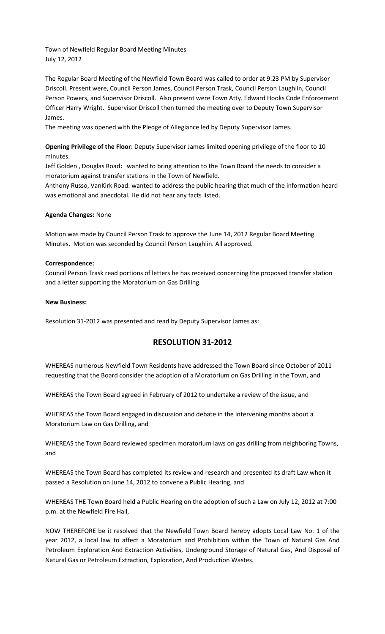Town of Newfield Regular Board Meeting Minutes July 12, 2012

The Regular Board Meeting of the Newfield Town Board was called to order at 9:23 PM by Supervisor Driscoll. Present were, Council Person James, Council Person Trask, Council Person Laughlin, Council Person Powers, and Supervisor Driscoll. Also present were Town Atty. Edward Hooks Code Enforcement Officer Harry Wright. Supervisor Driscoll then turned the meeting over to Deputy Town Supervisor James.

The meeting was opened with the Pledge of Allegiance led by Deputy Supervisor James.

**Opening Privilege of the Floor**: Deputy Supervisor James limited opening privilege of the floor to 10 minutes.

Jeff Golden , Douglas Road**:** wanted to bring attention to the Town Board the needs to consider a moratorium against transfer stations in the Town of Newfield.

Anthony Russo, VanKirk Road: wanted to address the public hearing that much of the information heard was emotional and anecdotal. He did not hear any facts listed.

### **Agenda Changes:** None

Motion was made by Council Person Trask to approve the June 14, 2012 Regular Board Meeting Minutes. Motion was seconded by Council Person Laughlin. All approved.

### **Correspondence:**

Council Person Trask read portions of letters he has received concerning the proposed transfer station and a letter supporting the Moratorium on Gas Drilling.

### **New Business:**

Resolution 31-2012 was presented and read by Deputy Supervisor James as:

# **RESOLUTION 31-2012**

WHEREAS numerous Newfield Town Residents have addressed the Town Board since October of 2011 requesting that the Board consider the adoption of a Moratorium on Gas Drilling in the Town, and

WHEREAS the Town Board agreed in February of 2012 to undertake a review of the issue, and

WHEREAS the Town Board engaged in discussion and debate in the intervening months about a Moratorium Law on Gas Drilling, and

WHEREAS the Town Board reviewed specimen moratorium laws on gas drilling from neighboring Towns, and

WHEREAS the Town Board has completed its review and research and presented its draft Law when it passed a Resolution on June 14, 2012 to convene a Public Hearing, and

WHEREAS THE Town Board held a Public Hearing on the adoption of such a Law on July 12, 2012 at 7:00 p.m. at the Newfield Fire Hall,

NOW THEREFORE be it resolved that the Newfield Town Board hereby adopts Local Law No. 1 of the year 2012, a local law to affect a Moratorium and Prohibition within the Town of Natural Gas And Petroleum Exploration And Extraction Activities, Underground Storage of Natural Gas, And Disposal of Natural Gas or Petroleum Extraction, Exploration, And Production Wastes.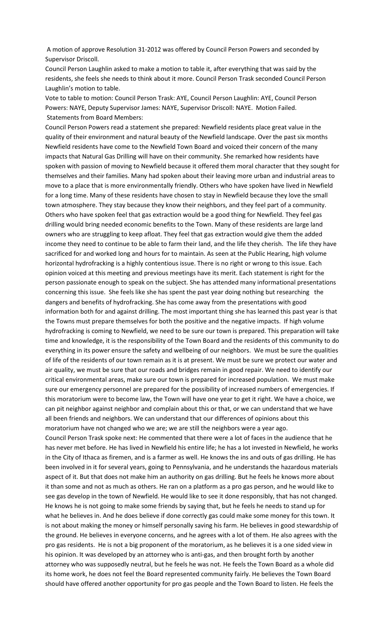A motion of approve Resolution 31-2012 was offered by Council Person Powers and seconded by Supervisor Driscoll.

Council Person Laughlin asked to make a motion to table it, after everything that was said by the residents, she feels she needs to think about it more. Council Person Trask seconded Council Person Laughlin's motion to table.

Vote to table to motion: Council Person Trask: AYE, Council Person Laughlin: AYE, Council Person Powers: NAYE, Deputy Supervisor James: NAYE, Supervisor Driscoll: NAYE. Motion Failed. Statements from Board Members:

Council Person Powers read a statement she prepared: Newfield residents place great value in the quality of their environment and natural beauty of the Newfield landscape. Over the past six months Newfield residents have come to the Newfield Town Board and voiced their concern of the many impacts that Natural Gas Drilling will have on their community. She remarked how residents have spoken with passion of moving to Newfield because it offered them moral character that they sought for themselves and their families. Many had spoken about their leaving more urban and industrial areas to move to a place that is more environmentally friendly. Others who have spoken have lived in Newfield for a long time. Many of these residents have chosen to stay in Newfield because they love the small town atmosphere. They stay because they know their neighbors, and they feel part of a community. Others who have spoken feel that gas extraction would be a good thing for Newfield. They feel gas drilling would bring needed economic benefits to the Town. Many of these residents are large land owners who are struggling to keep afloat. They feel that gas extraction would give them the added income they need to continue to be able to farm their land, and the life they cherish. The life they have sacrificed for and worked long and hours for to maintain. As seen at the Public Hearing, high volume horizontal hydrofracking is a highly contentious issue. There is no right or wrong to this issue. Each opinion voiced at this meeting and previous meetings have its merit. Each statement is right for the person passionate enough to speak on the subject. She has attended many informational presentations concerning this issue. She feels like she has spent the past year doing nothing but researching the dangers and benefits of hydrofracking. She has come away from the presentations with good information both for and against drilling. The most important thing she has learned this past year is that the Towns must prepare themselves for both the positive and the negative impacts. If high volume hydrofracking is coming to Newfield, we need to be sure our town is prepared. This preparation will take time and knowledge, it is the responsibility of the Town Board and the residents of this community to do everything in its power ensure the safety and wellbeing of our neighbors. We must be sure the qualities of life of the residents of our town remain as it is at present. We must be sure we protect our water and air quality, we must be sure that our roads and bridges remain in good repair. We need to identify our critical environmental areas, make sure our town is prepared for increased population. We must make sure our emergency personnel are prepared for the possibility of increased numbers of emergencies. If this moratorium were to become law, the Town will have one year to get it right. We have a choice, we can pit neighbor against neighbor and complain about this or that, or we can understand that we have all been friends and neighbors. We can understand that our differences of opinions about this moratorium have not changed who we are; we are still the neighbors were a year ago.

Council Person Trask spoke next: He commented that there were a lot of faces in the audience that he has never met before. He has lived in Newfield his entire life; he has a lot invested in Newfield, he works in the City of Ithaca as firemen, and is a farmer as well. He knows the ins and outs of gas drilling. He has been involved in it for several years, going to Pennsylvania, and he understands the hazardous materials aspect of it. But that does not make him an authority on gas drilling. But he feels he knows more about it than some and not as much as others. He ran on a platform as a pro gas person, and he would like to see gas develop in the town of Newfield. He would like to see it done responsibly, that has not changed. He knows he is not going to make some friends by saying that, but he feels he needs to stand up for what he believes in. And he does believe if done correctly gas could make some money for this town. It is not about making the money or himself personally saving his farm. He believes in good stewardship of the ground. He believes in everyone concerns, and he agrees with a lot of them. He also agrees with the pro gas residents. He is not a big proponent of the moratorium, as he believes it is a one sided view in his opinion. It was developed by an attorney who is anti-gas, and then brought forth by another attorney who was supposedly neutral, but he feels he was not. He feels the Town Board as a whole did its home work, he does not feel the Board represented community fairly. He believes the Town Board should have offered another opportunity for pro gas people and the Town Board to listen. He feels the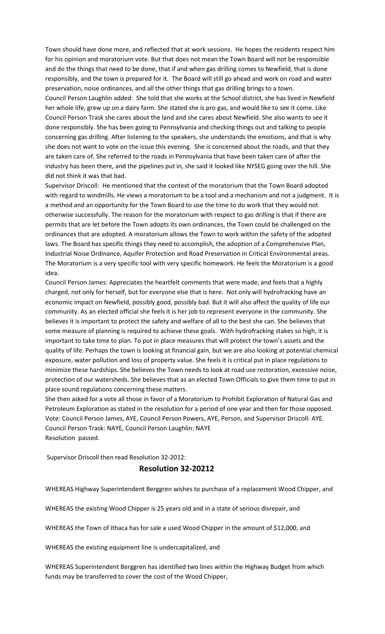Town should have done more, and reflected that at work sessions. He hopes the residents respect him for his opinion and moratorium vote. But that does not mean the Town Board will not be responsible and do the things that need to be done, that if and when gas drilling comes to Newfield, that is done responsibly, and the town is prepared for it. The Board will still go ahead and work on road and water preservation, noise ordinances, and all the other things that gas drilling brings to a town.

Council Person Laughlin added: She told that she works at the School district, she has lived in Newfield her whole life, grew up on a dairy farm. She stated she is pro gas, and would like to see it come. Like Council Person Trask she cares about the land and she cares about Newfield. She also wants to see it done responsibly. She has been going to Pennsylvania and checking things out and talking to people concerning gas drilling. After listening to the speakers, she understands the emotions, and that is why she does not want to vote on the issue this evening. She is concerned about the roads, and that they are taken care of. She referred to the roads in Pennsylvania that have been taken care of after the industry has been there, and the pipelines put in, she said it looked like NYSEG going over the hill. She did not think it was that bad.

Supervisor Driscoll: He mentioned that the context of the moratorium that the Town Board adopted with regard to windmills. He views a moratorium to be a tool and a mechanism and not a judgment. It is a method and an opportunity for the Town Board to use the time to do work that they would not otherwise successfully. The reason for the moratorium with respect to gas drilling is that if there are permits that are let before the Town adopts its own ordinances, the Town could be challenged on the ordinances that are adopted. A moratorium allows the Town to work within the safety of the adopted laws. The Board has specific things they need to accomplish, the adoption of a Comprehensive Plan, Industrial Noise Ordinance, Aquifer Protection and Road Preservation in Critical Environmental areas. The Moratorium is a very specific tool with very specific homework. He feels the Moratorium is a good idea.

Council Person James: Appreciates the heartfelt comments that were made, and feels that a highly charged, not only for herself, but for everyone else that is here. Not only will hydrofracking have an economic impact on Newfield, possibly good, possibly bad. But it will also affect the quality of life our community. As an elected official she feels it is her job to represent everyone in the community. She believes it is important to protect the safety and welfare of all to the best she can. She believes that some measure of planning is required to achieve these goals. With hydrofracking stakes so high, it is important to take time to plan. To put in place measures that will protect the town's assets and the quality of life. Perhaps the town is looking at financial gain, but we are also looking at potential chemical exposure, water pollution and loss of property value. She feels it is critical put in place regulations to minimize these hardships. She believes the Town needs to look at road use restoration, excessive noise, protection of our watersheds. She believes that as an elected Town Officials to give them time to put in place sound regulations concerning these matters.

She then asked for a vote all those in favor of a Moratorium to Prohibit Exploration of Natural Gas and Petroleum Exploration as stated in the resolution for a period of one year and then for those opposed. Vote: Council Person James, AYE, Council Person Powers, AYE, Person, and Supervisor Driscoll: AYE. Council Person Trask: NAYE, Council Person Laughlin: NAYE Resolution passed.

Supervisor Driscoll then read Resolution 32-2012:

## **Resolution 32-20212**

WHEREAS Highway Superintendent Berggren wishes to purchase of a replacement Wood Chipper, and

WHEREAS the existing Wood Chipper is 25 years old and in a state of serious disrepair, and

WHEREAS the Town of Ithaca has for sale a used Wood Chipper in the amount of \$12,000, and

WHEREAS the existing equipment line is undercapitalized, and

WHEREAS Superintendent Berggren has identified two lines within the Highway Budget from which funds may be transferred to cover the cost of the Wood Chipper,